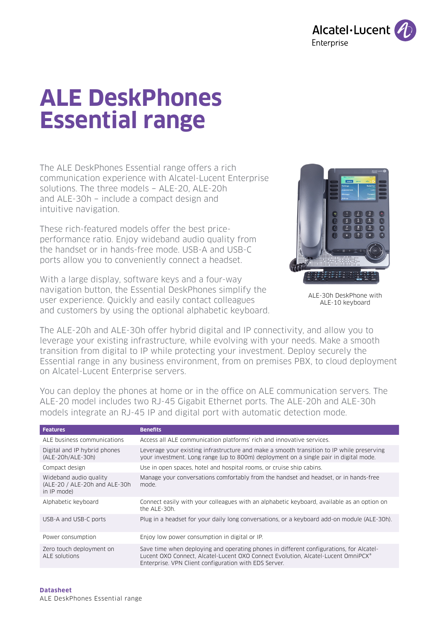

# **ALE DeskPhones Essential range**

The ALE DeskPhones Essential range offers a rich communication experience with Alcatel-Lucent Enterprise solutions. The three models − ALE-20, ALE-20h and ALE-30h − include a compact design and intuitive navigation.

These rich-featured models offer the best priceperformance ratio. Enjoy wideband audio quality from the handset or in hands-free mode. USB-A and USB-C ports allow you to conveniently connect a headset.

With a large display, software keys and a four-way navigation button, the Essential DeskPhones simplify the user experience. Quickly and easily contact colleagues and customers by using the optional alphabetic keyboard.



ALE-30h DeskPhone with ALE-10 keyboard

The ALE-20h and ALE-30h offer hybrid digital and IP connectivity, and allow you to leverage your existing infrastructure, while evolving with your needs. Make a smooth transition from digital to IP while protecting your investment. Deploy securely the Essential range in any business environment, from on premises PBX, to cloud deployment on Alcatel-Lucent Enterprise servers.

You can deploy the phones at home or in the office on ALE communication servers. The ALE-20 model includes two RJ-45 Gigabit Ethernet ports. The ALE-20h and ALE-30h models integrate an RJ-45 IP and digital port with automatic detection mode.

| <b>Features</b>                                                        | <b>Benefits</b>                                                                                                                                                                                                                       |
|------------------------------------------------------------------------|---------------------------------------------------------------------------------------------------------------------------------------------------------------------------------------------------------------------------------------|
| ALE business communications                                            | Access all ALE communication platforms' rich and innovative services.                                                                                                                                                                 |
| Digital and IP hybrid phones<br>(ALE-20h/ALE-30h)                      | Leverage your existing infrastructure and make a smooth transition to IP while preserving<br>your investment. Long range (up to 800m) deployment on a single pair in digital mode.                                                    |
| Compact design                                                         | Use in open spaces, hotel and hospital rooms, or cruise ship cabins.                                                                                                                                                                  |
| Wideband audio quality<br>(ALE-20 / ALE-20h and ALE-30h<br>in IP mode) | Manage your conversations comfortably from the handset and headset, or in hands-free<br>mode.                                                                                                                                         |
| Alphabetic keyboard                                                    | Connect easily with your colleagues with an alphabetic keyboard, available as an option on<br>the ALE-30h.                                                                                                                            |
| USB-A and USB-C ports                                                  | Plug in a headset for your daily long conversations, or a keyboard add-on module (ALE-30h).                                                                                                                                           |
| Power consumption                                                      | Enjoy low power consumption in digital or IP.                                                                                                                                                                                         |
| Zero touch deployment on<br>ALE solutions                              | Save time when deploying and operating phones in different configurations, for Alcatel-<br>Lucent OXO Connect, Alcatel-Lucent OXO Connect Evolution, Alcatel-Lucent OmniPCX®<br>Enterprise. VPN Client configuration with EDS Server. |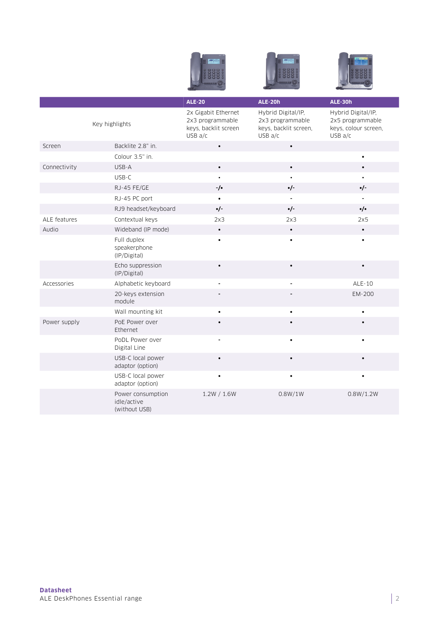| -<br>œ<br><b>Service</b><br>--<br>≡<br>٠<br><b>Contract Contract</b><br>---- |
|------------------------------------------------------------------------------|
| ĕ<br>å<br>۰                                                                  |
|                                                                              |





|                |                                                   | <b>ALE-20</b>                                                              | ALE-20h                                                                    | ALE-30h                                                                   |
|----------------|---------------------------------------------------|----------------------------------------------------------------------------|----------------------------------------------------------------------------|---------------------------------------------------------------------------|
| Key highlights |                                                   | 2x Gigabit Ethernet<br>2x3 programmable<br>keys, backlit screen<br>USB a/c | Hybrid Digital/IP,<br>2x3 programmable<br>keys, backlit screen,<br>USB a/c | Hybrid Digital/IP,<br>2x5 programmable<br>keys, colour screen,<br>USB a/c |
| Screen         | Backlite 2.8" in.                                 | $\bullet$                                                                  | $\bullet$                                                                  |                                                                           |
|                | Colour 3.5" in.                                   |                                                                            |                                                                            |                                                                           |
| Connectivity   | USB-A                                             | $\bullet$                                                                  | $\bullet$                                                                  | $\bullet$                                                                 |
|                | USB-C                                             | $\bullet$                                                                  | $\bullet$                                                                  |                                                                           |
|                | RJ-45 FE/GE                                       | $-/-$                                                                      | $\cdot$ /-                                                                 | $\cdot$ /-                                                                |
|                | RJ-45 PC port                                     |                                                                            |                                                                            |                                                                           |
|                | RJ9 headset/keyboard                              | $\cdot$ /-                                                                 | $\cdot$ /-                                                                 | $\cdot/\cdot$                                                             |
| ALE features   | Contextual keys                                   | 2x3                                                                        | 2x3                                                                        | 2x5                                                                       |
| Audio          | Wideband (IP mode)                                | $\bullet$                                                                  | $\bullet$                                                                  | $\bullet$                                                                 |
|                | Full duplex<br>speakerphone<br>(IP/Digital)       |                                                                            | $\bullet$                                                                  |                                                                           |
|                | Echo suppression<br>(IP/Digital)                  | $\bullet$                                                                  |                                                                            | $\bullet$                                                                 |
| Accessories    | Alphabetic keyboard                               |                                                                            |                                                                            | ALE-10                                                                    |
|                | 20-keys extension<br>module                       |                                                                            |                                                                            | EM-200                                                                    |
|                | Wall mounting kit                                 | $\bullet$                                                                  | $\bullet$                                                                  | $\bullet$                                                                 |
| Power supply   | PoE Power over<br>Ethernet                        |                                                                            |                                                                            |                                                                           |
|                | PoDL Power over<br>Digital Line                   |                                                                            |                                                                            |                                                                           |
|                | USB-C local power<br>adaptor (option)             | $\bullet$                                                                  |                                                                            |                                                                           |
|                | USB-C local power<br>adaptor (option)             | $\bullet$                                                                  |                                                                            | $\bullet$                                                                 |
|                | Power consumption<br>idle/active<br>(without USB) | 1.2W / 1.6W                                                                | 0.8W/1W                                                                    | 0.8W/1.2W                                                                 |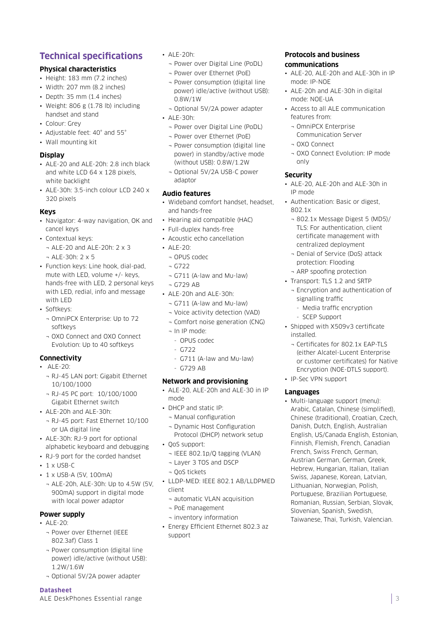# **Technical specifications**

# **Physical characteristics**

- Height: 183 mm (7.2 inches)
- Width:  $207$  mm  $(8.2$  inches)
- Depth: 35 mm (1.4 inches)
- Weight: 806 g (1.78 lb) including handset and stand
- Colour: Grey
- Adjustable feet: 40° and 55°
- Wall mounting kit

#### **Display**

- ALE-20 and ALE-20h: 2.8 inch black and white LCD 64 x 128 pixels, white backlight
- ALE-30h: 3.5-inch colour LCD 240 x 320 pixels

#### **Keys**

- Navigator: 4-way navigation, OK and cancel keys
- Contextual keys:
	- ¬ ALE-20 and ALE-20h: 2 x 3
- ¬ ALE-30h: 2 x 5
- Function keys: Line hook, dial-pad, mute with LED, volume +/- keys, hands-free with LED, 2 personal keys with LED, redial, info and message with LED
- Softkeys:
	- ¬ OmniPCX Enterprise: Up to 72 softkeys
	- ¬ OXO Connect and OXO Connect Evolution: Up to 40 softkeys

#### **Connectivity**

- ALE-20:
	- ¬ RJ-45 LAN port: Gigabit Ethernet 10/100/1000
	- ¬ RJ-45 PC port: 10/100/1000 Gigabit Ethernet switch
- ALE-20h and ALE-30h:
	- ¬ RJ-45 port: Fast Ethernet 10/100 or UA digital line
- ALE-30h: RJ-9 port for optional alphabetic keyboard and debugging
- RJ-9 port for the corded handset
- $\cdot$  1 x USB-C
- 1 x USB-A (5V, 100mA)
- ¬ ALE-20h, ALE-30h: Up to 4.5W (5V, 900mA) support in digital mode with local power adaptor

#### **Power supply**

- $\triangle$  ALE-20:
	- ¬ Power over Ethernet (IEEE 802.3af) Class 1
	- ¬ Power consumption (digital line power) idle/active (without USB): 1.2W/1.6W
	- ¬ Optional 5V/2A power adapter

#### **Datasheet**

ALE DeskPhones Essential range

- ALE-20h:
	- ¬ Power over Digital Line (PoDL)
	- ¬ Power over Ethernet (PoE)
	- ¬ Power consumption (digital line power) idle/active (without USB): 0.8W/1W
- ¬ Optional 5V/2A power adapter • ALE-30h:
	- ¬ Power over Digital Line (PoDL)
	- ¬ Power over Ethernet (PoE)
	- ¬ Power consumption (digital line power) in standby/active mode (without USB): 0.8W/1.2W
	- ¬ Optional 5V/2A USB-C power adaptor

#### **Audio features**

- Wideband comfort handset, headset, and hands-free
- Hearing aid compatible (HAC)
- Full-duplex hands-free
- Acoustic echo cancellation
- ALE-20:
- ¬ OPUS codec
- ¬ G722
- ¬ G711 (A-law and Mu-law)
- ¬ G729 AB
- ALE-20h and ALE-30h:
	- ¬ G711 (A-law and Mu-law)
	- ¬ Voice activity detection (VAD)
	- ¬ Comfort noise generation (CNG)
	- ¬ In IP mode:
	- OPUS codec
	- $-$  G722
	- G711 (A-law and Mu-law)
	- G729 AB

#### **Network and provisioning**

- ALE-20, ALE-20h and ALE-30 in IP mode
- DHCP and static IP:
- ¬ Manual configuration
- ¬ Dynamic Host Configuration Protocol (DHCP) network setup
- QoS support:
	- ¬ IEEE 802.1p/Q tagging (VLAN)
	- ¬ Layer 3 TOS and DSCP
	- ¬ QoS tickets
- LLDP-MED: IEEE 802.1 AB/LLDPMED client
- ¬ automatic VLAN acquisition
- ¬ PoE management
- ¬ inventory information
- Energy Efficient Ethernet 802.3 az support

#### **Protocols and business communications**

- ALE-20, ALE-20h and ALE-30h in IP mode: IP-NOE
- ALE-20h and ALE-30h in digital mode: NOE-UA
- Access to all ALE communication features from:
	- ¬ OmniPCX Enterprise Communication Server
	- ¬ OXO Connect
	- ¬ OXO Connect Evolution: IP mode only

#### **Security**

- ALE-20, ALE-20h and ALE-30h in IP mode
- Authentication: Basic or digest, 802.1x
	- ¬ 802.1x Message Digest 5 (MD5)/ TLS: For authentication, client certificate management with centralized deployment
	- ¬ Denial of Service (DoS) attack protection: Flooding ¬ ARP spoofing protection
- Transport: TLS 1.2 and SRTP
	- ¬ Encryption and authentication of signalling traffic
		- Media traffic encryption
	- SCEP Support
- Shipped with X509v3 certificate installed.

• Multi-language support (menu): Arabic, Catalan, Chinese (simplified), Chinese (traditional), Croatian, Czech, Danish, Dutch, English, Australian English, US/Canada English, Estonian, Finnish, Flemish, French, Canadian French, Swiss French, German, Austrian German, German, Greek, Hebrew, Hungarian, Italian, Italian Swiss, Japanese, Korean, Latvian, Lithuanian, Norwegian, Polish, Portuguese, Brazilian Portuguese, Romanian, Russian, Serbian, Slovak, Slovenian, Spanish, Swedish, Taiwanese, Thai, Turkish, Valencian.

¬ Certificates for 802.1x EAP-TLS (either Alcatel-Lucent Enterprise or customer certificates) for Native Encryption (NOE-DTLS support).

3

• IP-Sec VPN support

**Languages**